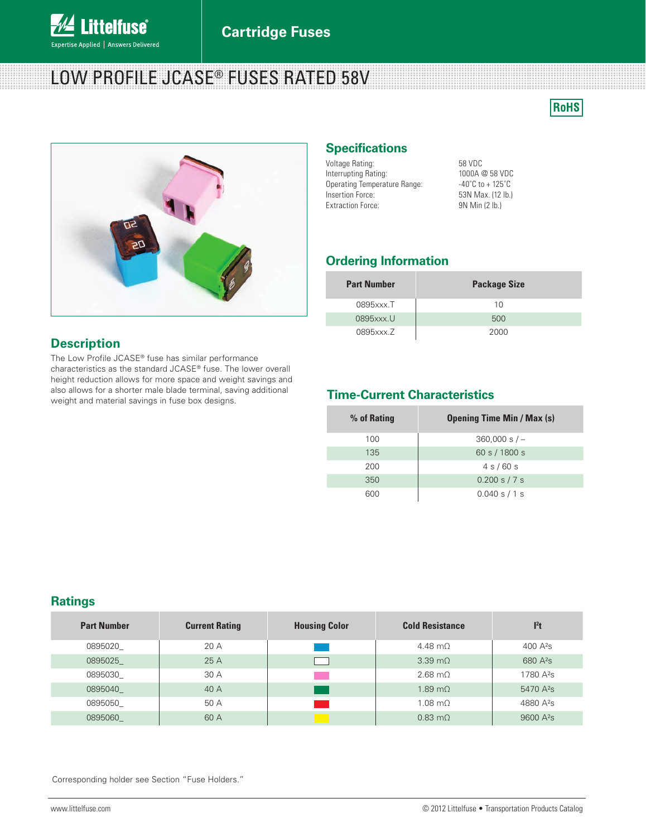

# LOW PROFILE JCASE® FUSES RATED 58V





# **Description**

The Low Profile JCASE® fuse has similar performance characteristics as the standard JCASE® fuse. The lower overall height reduction allows for more space and weight savings and also allows for a shorter male blade terminal, saving additional weight and material savings in fuse box designs.

### **Specifications**

| Voltage Rating:              | 58 VDC                                |
|------------------------------|---------------------------------------|
| Interrupting Rating:         | 1000A @ 58 VDC                        |
| Operating Temperature Range: | $-40^{\circ}$ C to + 125 $^{\circ}$ C |
| Insertion Force:             | 53N Max. (12 lb.)                     |
| <b>Extraction Force:</b>     | 9N Min (2 lb.)                        |

# **Ordering Information**

| <b>Part Number</b> | <b>Package Size</b> |
|--------------------|---------------------|
| 0895xxx.T          | 10                  |
| 0895xxx.U          | 500                 |
| 0895xxx.Z          | 2000                |

# **Time-Current Characteristics**

| % of Rating | <b>Opening Time Min / Max (s)</b> |
|-------------|-----------------------------------|
| 100         | $360,000 s/-$                     |
| 135         | 60 s / 1800 s                     |
| 200         | 4s/60s                            |
| 350         | $0.200$ s $/7$ s                  |
| 600         | 0.040 s / 1 s                     |

#### **Ratings**

| <b>Part Number</b> | <b>Current Rating</b> | <b>Housing Color</b> | <b>Cold Resistance</b> | l <sup>2</sup> t      |
|--------------------|-----------------------|----------------------|------------------------|-----------------------|
| 0895020            | 20 A                  |                      | $4.48 \text{ m}$       | 400 $A^2S$            |
| 0895025            | 25 A                  |                      | $3.39 \text{ m}\Omega$ | 680 A <sup>2</sup> s  |
| 0895030            | 30A                   |                      | $2.68 \text{ m}\Omega$ | 1780 A <sup>2</sup> s |
| 0895040            | 40A                   |                      | $1.89 \text{ m}$       | 5470 A <sup>2</sup> s |
| 0895050            | 50 A                  |                      | $1.08 \text{ m}\Omega$ | 4880 A <sup>2</sup> s |
| 0895060            | 60 A                  |                      | $0.83 \text{ m}\Omega$ | 9600 A <sup>2</sup> s |

Corresponding holder see Section "Fuse Holders."